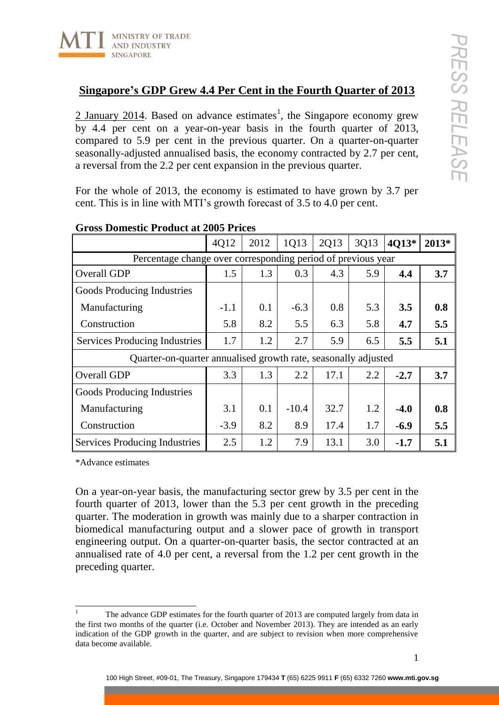

 $\frac{2 \text{ January } 2014}{2 \text{ based on advance estimates}}$ , the Singapore economy grew by 4.4 per cent on a year-on-year basis in the fourth quarter of 2013, compared to 5.9 per cent in the previous quarter. On a quarter-on-quarter seasonally-adjusted annualised basis, the economy contracted by 2.7 per cent, a reversal from the 2.2 per cent expansion in the previous quarter.

For the whole of 2013, the economy is estimated to have grown by 3.7 per cent. This is in line with MTI's growth forecast of 3.5 to 4.0 per cent.

|                                                                | 4Q12   | 2012 | 1Q13    | 2Q13 | 3Q13 | 4Q13*  | 2013* |
|----------------------------------------------------------------|--------|------|---------|------|------|--------|-------|
| Percentage change over corresponding period of previous year   |        |      |         |      |      |        |       |
| Overall GDP                                                    | 1.5    | 1.3  | 0.3     | 4.3  | 5.9  | 4.4    | 3.7   |
| Goods Producing Industries                                     |        |      |         |      |      |        |       |
| Manufacturing                                                  | $-1.1$ | 0.1  | $-6.3$  | 0.8  | 5.3  | 3.5    | 0.8   |
| Construction                                                   | 5.8    | 8.2  | 5.5     | 6.3  | 5.8  | 4.7    | 5.5   |
| Services Producing Industries                                  | 1.7    | 1.2  | 2.7     | 5.9  | 6.5  | 5.5    | 5.1   |
| Quarter-on-quarter annualised growth rate, seasonally adjusted |        |      |         |      |      |        |       |
| Overall GDP                                                    | 3.3    | 1.3  | 2.2     | 17.1 | 2.2  | $-2.7$ | 3.7   |
| Goods Producing Industries                                     |        |      |         |      |      |        |       |
| Manufacturing                                                  | 3.1    | 0.1  | $-10.4$ | 32.7 | 1.2  | $-4.0$ | 0.8   |
| Construction                                                   | $-3.9$ | 8.2  | 8.9     | 17.4 | 1.7  | $-6.9$ | 5.5   |
| Services Producing Industries                                  | 2.5    | 1.2  | 7.9     | 13.1 | 3.0  | $-1.7$ | 5.1   |

## **Gross Domestic Product at 2005 Prices**

\*Advance estimates

On a year-on-year basis, the manufacturing sector grew by 3.5 per cent in the fourth quarter of 2013, lower than the 5.3 per cent growth in the preceding quarter. The moderation in growth was mainly due to a sharper contraction in biomedical manufacturing output and a slower pace of growth in transport engineering output. On a quarter-on-quarter basis, the sector contracted at an annualised rate of 4.0 per cent, a reversal from the 1.2 per cent growth in the preceding quarter.

 $\mathbf{1}$ <sup>1</sup> The advance GDP estimates for the fourth quarter of 2013 are computed largely from data in the first two months of the quarter (i.e. October and November 2013). They are intended as an early indication of the GDP growth in the quarter, and are subject to revision when more comprehensive data become available.